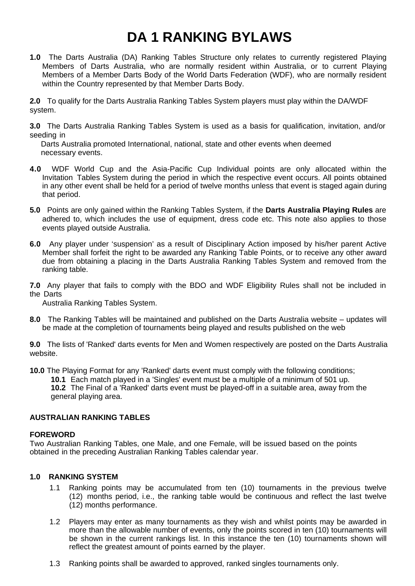# **DA 1 RANKING BYLAWS**

**1.0** The Darts Australia (DA) Ranking Tables Structure only relates to currently registered Playing Members of Darts Australia, who are normally resident within Australia, or to current Playing Members of a Member Darts Body of the World Darts Federation (WDF), who are normally resident within the Country represented by that Member Darts Body.

**2.0** To qualify for the Darts Australia Ranking Tables System players must play within the DA/WDF system.

**3.0** The Darts Australia Ranking Tables System is used as a basis for qualification, invitation, and/or seeding in

Darts Australia promoted International, national, state and other events when deemed necessary events.

- **4.0** WDF World Cup and the Asia-Pacific Cup Individual points are only allocated within the Invitation Tables System during the period in which the respective event occurs. All points obtained in any other event shall be held for a period of twelve months unless that event is staged again during that period.
- **5.0** Points are only gained within the Ranking Tables System, if the **Darts Australia Playing Rules** are adhered to, which includes the use of equipment, dress code etc. This note also applies to those events played outside Australia.
- **6.0** Any player under 'suspension' as a result of Disciplinary Action imposed by his/her parent Active Member shall forfeit the right to be awarded any Ranking Table Points, or to receive any other award due from obtaining a placing in the Darts Australia Ranking Tables System and removed from the ranking table.

**7.0** Any player that fails to comply with the BDO and WDF Eligibility Rules shall not be included in the Darts

Australia Ranking Tables System.

**8.0** The Ranking Tables will be maintained and published on the Darts Australia website – updates will be made at the completion of tournaments being played and results published on the web

**9.0** The lists of 'Ranked' darts events for Men and Women respectively are posted on the Darts Australia website.

**10.0** The Playing Format for any 'Ranked' darts event must comply with the following conditions;

**10.1** Each match played in a 'Singles' event must be a multiple of a minimum of 501 up. **10.2** The Final of a 'Ranked' darts event must be played-off in a suitable area, away from the general playing area.

# **AUSTRALIAN RANKING TABLES**

#### **FOREWORD**

Two Australian Ranking Tables, one Male, and one Female, will be issued based on the points obtained in the preceding Australian Ranking Tables calendar year.

# **1.0 RANKING SYSTEM**

- 1.1 Ranking points may be accumulated from ten (10) tournaments in the previous twelve (12) months period, i.e., the ranking table would be continuous and reflect the last twelve (12) months performance.
- 1.2 Players may enter as many tournaments as they wish and whilst points may be awarded in more than the allowable number of events, only the points scored in ten (10) tournaments will be shown in the current rankings list. In this instance the ten (10) tournaments shown will reflect the greatest amount of points earned by the player.
- 1.3 Ranking points shall be awarded to approved, ranked singles tournaments only.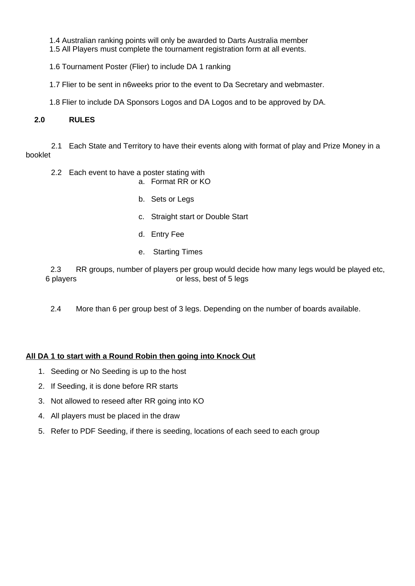1.4 Australian ranking points will only be awarded to Darts Australia member 1.5 All Players must complete the tournament registration form at all events.

1.6 Tournament Poster (Flier) to include DA 1 ranking

1.7 Flier to be sent in n6weeks prior to the event to Da Secretary and webmaster.

1.8 Flier to include DA Sponsors Logos and DA Logos and to be approved by DA.

# **2.0 RULES**

 2.1 Each State and Territory to have their events along with format of play and Prize Money in a booklet

2.2 Each event to have a poster stating with

a. Format RR or KO

- b. Sets or Legs
- c. Straight start or Double Start
- d. Entry Fee
- e. Starting Times

2.3 RR groups, number of players per group would decide how many legs would be played etc, 6 players or less, best of 5 legs

2.4 More than 6 per group best of 3 legs. Depending on the number of boards available.

# **All DA 1 to start with a Round Robin then going into Knock Out**

- 1. Seeding or No Seeding is up to the host
- 2. If Seeding, it is done before RR starts
- 3. Not allowed to reseed after RR going into KO
- 4. All players must be placed in the draw
- 5. Refer to PDF Seeding, if there is seeding, locations of each seed to each group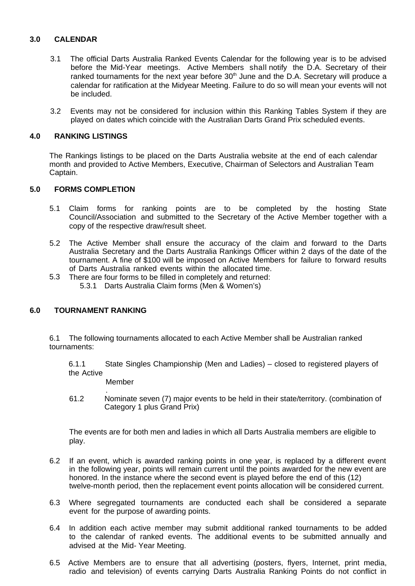#### **3.0 CALENDAR**

- 3.1 The official Darts Australia Ranked Events Calendar for the following year is to be advised before the Mid-Year meetings. Active Members shall notify the D.A. Secretary of their ranked tournaments for the next year before  $30<sup>th</sup>$  June and the D.A. Secretary will produce a calendar for ratification at the Midyear Meeting. Failure to do so will mean your events will not be included.
- 3.2 Events may not be considered for inclusion within this Ranking Tables System if they are played on dates which coincide with the Australian Darts Grand Prix scheduled events.

#### **4.0 RANKING LISTINGS**

The Rankings listings to be placed on the Darts Australia website at the end of each calendar month and provided to Active Members, Executive, Chairman of Selectors and Australian Team Captain.

#### **5.0 FORMS COMPLETION**

- 5.1 Claim forms for ranking points are to be completed by the hosting State Council/Association and submitted to the Secretary of the Active Member together with a copy of the respective draw/result sheet.
- 5.2 The Active Member shall ensure the accuracy of the claim and forward to the Darts Australia Secretary and the Darts Australia Rankings Officer within 2 days of the date of the tournament. A fine of \$100 will be imposed on Active Members for failure to forward results of Darts Australia ranked events within the allocated time.
- 5.3 There are four forms to be filled in completely and returned: 5.3.1 Darts Australia Claim forms (Men & Women's)

# **6.0 TOURNAMENT RANKING**

6.1 The following tournaments allocated to each Active Member shall be Australian ranked tournaments:

6.1.1 State Singles Championship (Men and Ladies) – closed to registered players of the Active

Member

. 61.2 Nominate seven (7) major events to be held in their state/territory. (combination of Category 1 plus Grand Prix)

The events are for both men and ladies in which all Darts Australia members are eligible to play.

- 6.2 If an event, which is awarded ranking points in one year, is replaced by a different event in the following year, points will remain current until the points awarded for the new event are honored. In the instance where the second event is played before the end of this (12) twelve-month period, then the replacement event points allocation will be considered current.
- 6.3 Where segregated tournaments are conducted each shall be considered a separate event for the purpose of awarding points.
- 6.4 In addition each active member may submit additional ranked tournaments to be added to the calendar of ranked events. The additional events to be submitted annually and advised at the Mid- Year Meeting.
- 6.5 Active Members are to ensure that all advertising (posters, flyers, Internet, print media, radio and television) of events carrying Darts Australia Ranking Points do not conflict in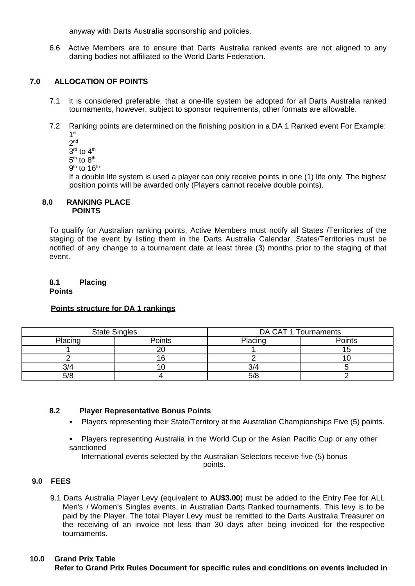anyway with Darts Australia sponsorship and policies.

6.6 Active Members are to ensure that Darts Australia ranked events are not aligned to any darting bodies not affiliated to the World Darts Federation.

# **7.0 ALLOCATION OF POINTS**

- 7.1 It is considered preferable, that a one-life system be adopted for all Darts Australia ranked tournaments, however, subject to sponsor requirements, other formats are allowable.
- 7.2 Ranking points are determined on the finishing position in a DA 1 Ranked event For Example:  $1<sup>st</sup>$ 
	- 2 nd
	- $3^{\text{rd}}$  to  $4^{\text{th}}$
	- $5<sup>th</sup>$  to  $8<sup>th</sup>$
	- $9^{\rm th}$  to  $16^{\rm th}$

If a double life system is used a player can only receive points in one (1) life only. The highest position points will be awarded only (Players cannot receive double points).

#### **8.0 RANKING PLACE POINTS**

To qualify for Australian ranking points, Active Members must notify all States /Territories of the staging of the event by listing them in the Darts Australia Calendar. States/Territories must be notified of any change to a tournament date at least three (3) months prior to the staging of that event.

**8.1 Placing Points**

# **Points structure for DA 1 rankings**

| <b>State Singles</b> |        | DA CAT 1 Tournaments |        |
|----------------------|--------|----------------------|--------|
| Placing              | Points | Placing              | Points |
|                      |        |                      | 15     |
|                      |        |                      |        |
|                      |        | 3/4                  |        |
| 5/8                  |        | 5/8                  |        |

#### **8.2 Player Representative Bonus Points**

- Players representing their State/Territory at the Australian Championships Five (5) points.
- Players representing Australia in the World Cup or the Asian Pacific Cup or any other sanctioned

International events selected by the Australian Selectors receive five (5) bonus points.

# **9.0 FEES**

9.1 Darts Australia Player Levy (equivalent to **AU\$3.00**) must be added to the Entry Fee for ALL Men's / Women's Singles events, in Australian Darts Ranked tournaments. This levy is to be paid by the Player. The total Player Levy must be remitted to the Darts Australia Treasurer on the receiving of an invoice not less than 30 days after being invoiced for the respective tournaments.

### **10.0 Grand Prix Table**

**Refer to Grand Prix Rules Document for specific rules and conditions on events included in**